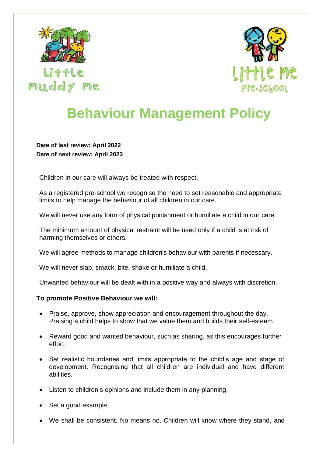

little muddy me



## **Behaviour Management Policy**

**Date of last review: April 2022 Date of next review: April 2023**

Children in our care will always be treated with respect.

As a registered pre-school we recognise the need to set reasonable and appropriate limits to help manage the behaviour of all children in our care.

We will never use any form of physical punishment or humiliate a child in our care.

The minimum amount of physical restraint will be used only if a child is at risk of harming themselves or others.

We will agree methods to manage children's behaviour with parents if necessary.

We will never slap, smack, bite, shake or humiliate a child.

Unwanted behaviour will be dealt with in a positive way and always with discretion.

## **To promote Positive Behaviour we will:**

- Praise, approve, show appreciation and encouragement throughout the day. Praising a child helps to show that we value them and builds their self-esteem.
- Reward good and wanted behaviour, such as sharing, as this encourages further effort.
- Set realistic boundaries and limits appropriate to the child's age and stage of development. Recognising that all children are individual and have different abilities.
- Listen to children's opinions and include them in any planning.
- Set a good example
- We shall be consistent. No means no. Children will know where they stand, and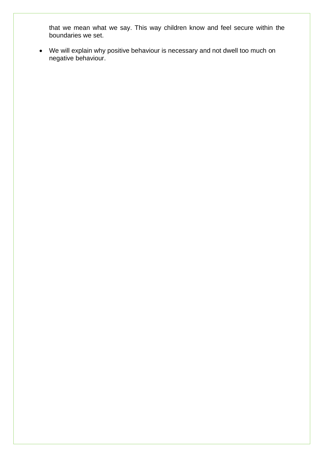that we mean what we say. This way children know and feel secure within the boundaries we set.

• We will explain why positive behaviour is necessary and not dwell too much on negative behaviour.